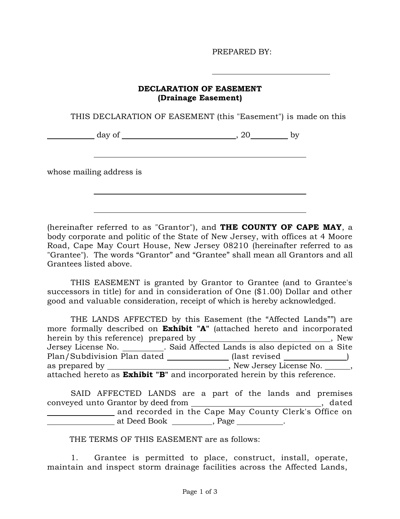PREPARED BY:

## **DECLARATION OF EASEMENT (Drainage Easement)**

THIS DECLARATION OF EASEMENT (this "Easement") is made on this

day of the contract of the contract of the contract of the contract of the contract of the contract of the contract of the contract of the contract of the contract of the contract of the contract of the contract of the con

whose mailing address is

(hereinafter referred to as "Grantor"), and **THE COUNTY OF CAPE MAY**, a body corporate and politic of the State of New Jersey, with offices at 4 Moore Road, Cape May Court House, New Jersey 08210 (hereinafter referred to as "Grantee"). The words "Grantor" and "Grantee" shall mean all Grantors and all Grantees listed above.

THIS EASEMENT is granted by Grantor to Grantee (and to Grantee's successors in title) for and in consideration of One (\$1.00) Dollar and other good and valuable consideration, receipt of which is hereby acknowledged.

THE LANDS AFFECTED by this Easement (the "Affected Lands"") are more formally described on **Exhibit "A"** (attached hereto and incorporated herein by this reference) prepared by , New Jersey License No. \_\_\_\_\_\_\_\_\_\_\_. Said Affected Lands is also depicted on a Site Plan/Subdivision Plan dated \_\_\_\_\_\_\_\_\_\_\_\_(last revised \_\_\_\_\_\_\_\_\_\_\_\_\_) as prepared by , New Jersey License No. , attached hereto as **Exhibit "B"** and incorporated herein by this reference.

| SAID AFFECTED LANDS are a part of the lands and premises |                                                       |  |  |  |  |       |
|----------------------------------------------------------|-------------------------------------------------------|--|--|--|--|-------|
| conveyed unto Grantor by deed from                       |                                                       |  |  |  |  | dated |
|                                                          | and recorded in the Cape May County Clerk's Office on |  |  |  |  |       |
|                                                          | at Deed Book , Page ___________.                      |  |  |  |  |       |

THE TERMS OF THIS EASEMENT are as follows:

1. Grantee is permitted to place, construct, install, operate, maintain and inspect storm drainage facilities across the Affected Lands,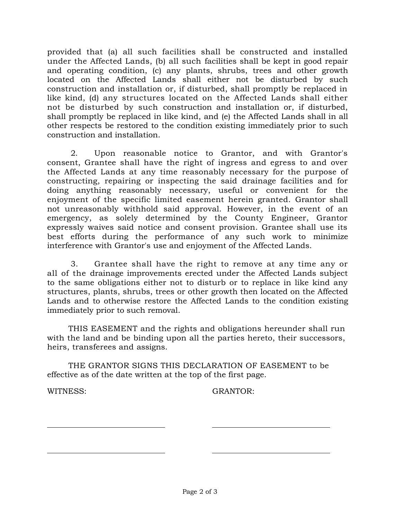provided that (a) all such facilities shall be constructed and installed under the Affected Lands, (b) all such facilities shall be kept in good repair and operating condition, (c) any plants, shrubs, trees and other growth located on the Affected Lands shall either not be disturbed by such construction and installation or, if disturbed, shall promptly be replaced in like kind, (d) any structures located on the Affected Lands shall either not be disturbed by such construction and installation or, if disturbed, shall promptly be replaced in like kind, and (e) the Affected Lands shall in all other respects be restored to the condition existing immediately prior to such construction and installation.

2. Upon reasonable notice to Grantor, and with Grantor's consent, Grantee shall have the right of ingress and egress to and over the Affected Lands at any time reasonably necessary for the purpose of constructing, repairing or inspecting the said drainage facilities and for doing anything reasonably necessary, useful or convenient for the enjoyment of the specific limited easement herein granted. Grantor shall not unreasonably withhold said approval. However, in the event of an emergency, as solely determined by the County Engineer, Grantor expressly waives said notice and consent provision. Grantee shall use its best efforts during the performance of any such work to minimize interference with Grantor's use and enjoyment of the Affected Lands.

3. Grantee shall have the right to remove at any time any or all of the drainage improvements erected under the Affected Lands subject to the same obligations either not to disturb or to replace in like kind any structures, plants, shrubs, trees or other growth then located on the Affected Lands and to otherwise restore the Affected Lands to the condition existing immediately prior to such removal.

THIS EASEMENT and the rights and obligations hereunder shall run with the land and be binding upon all the parties hereto, their successors, heirs, transferees and assigns.

THE GRANTOR SIGNS THIS DECLARATION OF EASEMENT to be effective as of the date written at the top of the first page.

WITNESS: GRANTOR: